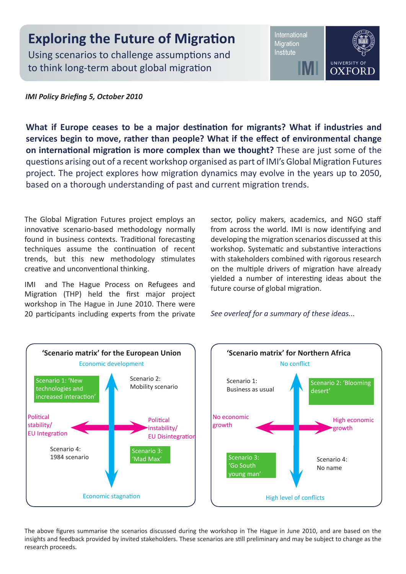## **Exploring the Future of Migration**

Using scenarios to challenge assumptions and to think long-term about global migration

International Migration Institute



*IMI Policy Briefing 5, October 2010*

**What if Europe ceases to be a major destination for migrants? What if industries and services begin to move, rather than people? What if the effect of environmental change on international migration is more complex than we thought?** These are just some of the questions arising out of a recent workshop organised as part of IMI's Global Migration Futures project. The project explores how migration dynamics may evolve in the years up to 2050, based on a thorough understanding of past and current migration trends.

The Global Migration Futures project employs an innovative scenario-based methodology normally found in business contexts. Traditional forecasting techniques assume the continuation of recent trends, but this new methodology stimulates creative and unconventional thinking.

IMI and The Hague Process on Refugees and Migration (THP) held the first major project workshop in The Hague in June 2010. There were 20 participants including experts from the private sector, policy makers, academics, and NGO staff from across the world. IMI is now identifying and developing the migration scenarios discussed at this workshop. Systematic and substantive interactions with stakeholders combined with rigorous research on the multiple drivers of migration have already yielded a number of interesting ideas about the future course of global migration.

*See overleaf for a summary of these ideas...*



The above figures summarise the scenarios discussed during the workshop in The Hague in June 2010, and are based on the insights and feedback provided by invited stakeholders. These scenarios are still preliminary and may be subject to change as the research proceeds.